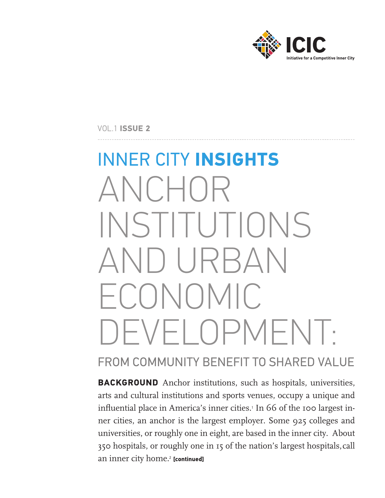

VOL.1 **ISSUE 2**

# INNER CITY **INSIGHTS** ANCHOR INSTITUTIONS AND URBAN ECONOMIC DEVELOPMENT:

# FROM COMMUNITY BENEFIT TO SHARED VALUE

**BACKGROUND** Anchor institutions, such as hospitals, universities, arts and cultural institutions and sports venues, occupy a unique and influential place in America's inner cities.<sup>1</sup> In 66 of the 100 largest inner cities, an anchor is the largest employer. Some 925 colleges and universities, or roughly one in eight, are based in the inner city. About 350 hospitals, or roughly one in 15 of the nation's largest hospitals,call an inner city home.<sup>2</sup> [continued]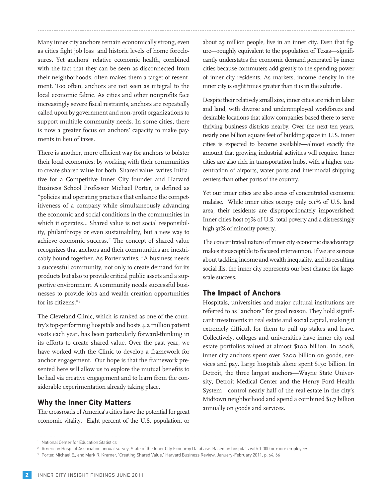Many inner city anchors remain economically strong, even as cities fight job loss and historic levels of home foreclosures. Yet anchors' relative economic health, combined with the fact that they can be seen as disconnected from their neighborhoods, often makes them a target of resentment. Too often, anchors are not seen as integral to the local economic fabric. As cities and other nonprofits face increasingly severe fiscal restraints, anchors are repeatedly called upon by government and non-profit organizations to support multiple community needs. In some cities, there is now a greater focus on anchors' capacity to make payments in lieu of taxes.

There is another, more efficient way for anchors to bolster their local economies: by working with their communities to create shared value for both. Shared value, writes Initiative for a Competitive Inner City founder and Harvard Business School Professor Michael Porter, is defined as "policies and operating practices that enhance the competitiveness of a company while simultaneously advancing the economic and social conditions in the communities in which it operates… Shared value is not social responsibility, philanthropy or even sustainability, but a new way to achieve economic success." The concept of shared value recognizes that anchors and their communities are inextricably bound together. As Porter writes, "A business needs a successful community, not only to create demand for its products but also to provide critical public assets and a supportive environment. A community needs successful businesses to provide jobs and wealth creation opportunities for its citizens."<sup>3</sup>

The Cleveland Clinic, which is ranked as one of the country's top-performing hospitals and hosts 4.2 million patient visits each year, has been particularly forward-thinking in its efforts to create shared value. Over the past year, we have worked with the Clinic to develop a framework for anchor engagement. Our hope is that the framework presented here will allow us to explore the mutual benefits to be had via creative engagement and to learn from the considerable experimentation already taking place.

# **Why the Inner City Matters**

The crossroads of America's cities have the potential for great economic vitality. Eight percent of the U.S. population, or

about 25 million people, live in an inner city. Even that figure—roughly equivalent to the population of Texas—significantly understates the economic demand generated by inner cities because commuters add greatly to the spending power of inner city residents. As markets, income density in the inner city is eight times greater than it is in the suburbs.

Despite their relatively small size, inner cities are rich in labor and land, with diverse and underemployed workforces and desirable locations that allow companies based there to serve thriving business districts nearby. Over the next ten years, nearly one billion square feet of building space in U.S. inner cities is expected to become available—almost exactly the amount that growing industrial activities will require. Inner cities are also rich in transportation hubs, with a higher concentration of airports, water ports and intermodal shipping centers than other parts of the country.

Yet our inner cities are also areas of concentrated economic malaise. While inner cities occupy only 0.1% of U.S. land area, their residents are disproportionately impoverished: Inner cities host 19% of U.S. total poverty and a distressingly high 31% of minority poverty.

The concentrated nature of inner city economic disadvantage makes it susceptible to focused intervention. If we are serious about tackling income and wealth inequality, and its resulting social ills, the inner city represents our best chance for largescale success.

# **The Impact of Anchors**

Hospitals, universities and major cultural institutions are referred to as "anchors" for good reason. They hold significant investments in real estate and social capital, making it extremely difficult for them to pull up stakes and leave. Collectively, colleges and universities have inner city real estate portfolios valued at almost \$100 billion. In 2008, inner city anchors spent over \$200 billion on goods, services and pay. Large hospitals alone spent \$130 billion. In Detroit, the three largest anchors—Wayne State University, Detroit Medical Center and the Henry Ford Health System—control nearly half of the real estate in the city's Midtown neighborhood and spend a combined \$1.7 billion annually on goods and services.

<sup>&</sup>lt;sup>1</sup> National Center for Education Statistics

<sup>&</sup>lt;sup>2</sup> American Hospital Association annual survey, State of the Inner City Economy Database. Based on hospitals with 1,000 or more employees

<sup>&</sup>lt;sup>3</sup> Porter, Michael E., and Mark R. Kramer, "Creating Shared Value," Harvard Business Review, January-February 2011, p. 64, 66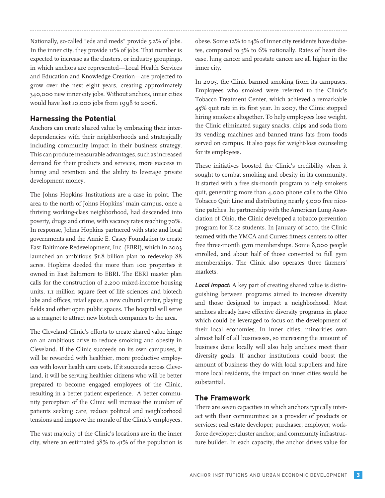Nationally, so-called "eds and meds" provide 5.2% of jobs. In the inner city, they provide  $11\%$  of jobs. That number is expected to increase as the clusters, or industry groupings, in which anchors are represented—Local Health Services and Education and Knowledge Creation—are projected to grow over the next eight years, creating approximately 340,000 new inner city jobs. Without anchors, inner cities would have lost 10,000 jobs from 1998 to 2006.

# **Harnessing the Potential**

Anchors can create shared value by embracing their interdependencies with their neighborhoods and strategically including community impact in their business strategy. This can produce measurable advantages, such as increased demand for their products and services, more success in hiring and retention and the ability to leverage private development money.

The Johns Hopkins Institutions are a case in point. The area to the north of Johns Hopkins' main campus, once a thriving working-class neighborhood, had descended into poverty, drugs and crime, with vacancy rates reaching 70%. In response, Johns Hopkins partnered with state and local governments and the Annie E. Casey Foundation to create East Baltimore Redevelopment, Inc. (EBRI), which in 2003 launched an ambitious \$1.8 billion plan to redevelop 88 acres. Hopkins deeded the more than 100 properties it owned in East Baltimore to EBRI. The EBRI master plan calls for the construction of 2,200 mixed-income housing units, 1.1 million square feet of life sciences and biotech labs and offices, retail space, a new cultural center, playing fields and other open public spaces. The hospital will serve as a magnet to attract new biotech companies to the area.

The Cleveland Clinic's efforts to create shared value hinge on an ambitious drive to reduce smoking and obesity in Cleveland. If the Clinic succeeds on its own campuses, it will be rewarded with healthier, more productive employees with lower health care costs. If it succeeds across Cleveland, it will be serving healthier citizens who will be better prepared to become engaged employees of the Clinic, resulting in a better patient experience. A better community perception of the Clinic will increase the number of patients seeking care, reduce political and neighborhood tensions and improve the morale of the Clinic's employees.

The vast majority of the Clinic's locations are in the inner city, where an estimated 38% to 41% of the population is obese. Some 12% to 14% of inner city residents have diabetes, compared to 5% to 6% nationally. Rates of heart disease, lung cancer and prostate cancer are all higher in the inner city.

In 2005, the Clinic banned smoking from its campuses. Employees who smoked were referred to the Clinic's Tobacco Treatment Center, which achieved a remarkable 45% quit rate in its first year. In 2007, the Clinic stopped hiring smokers altogether. To help employees lose weight, the Clinic eliminated sugary snacks, chips and soda from its vending machines and banned trans fats from foods served on campus. It also pays for weight-loss counseling for its employees.

These initiatives boosted the Clinic's credibility when it sought to combat smoking and obesity in its community. It started with a free six-month program to help smokers quit, generating more than 4,000 phone calls to the Ohio Tobacco Quit Line and distributing nearly 5,000 free nicotine patches. In partnership with the American Lung Association of Ohio, the Clinic developed a tobacco prevention program for K-12 students. In January of 2010, the Clinic teamed with the YMCA and Curves fitness centers to offer free three-month gym memberships. Some 8,000 people enrolled, and about half of those converted to full gym memberships. The Clinic also operates three farmers' markets.

*Local Impact:* A key part of creating shared value is distinguishing between programs aimed to increase diversity and those designed to impact a neighborhood. Most anchors already have effective diversity programs in place which could be leveraged to focus on the development of their local economies. In inner cities, minorities own almost half of all businesses, so increasing the amount of business done locally will also help anchors meet their diversity goals. If anchor institutions could boost the amount of business they do with local suppliers and hire more local residents, the impact on inner cities would be substantial.

## **The Framework**

There are seven capacities in which anchors typically interact with their communities: as a provider of products or services; real estate developer; purchaser; employer; workforce developer; cluster anchor; and community infrastructure builder. In each capacity, the anchor drives value for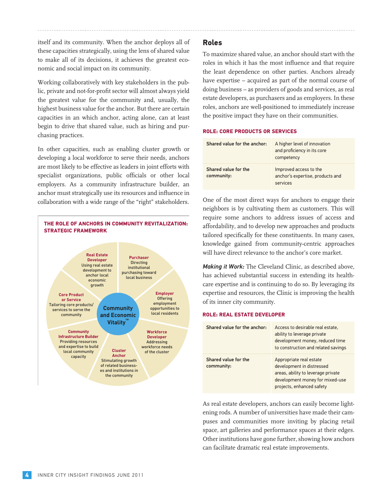itself and its community. When the anchor deploys all of these capacities strategically, using the lens of shared value to make all of its decisions, it achieves the greatest economic and social impact on its community.

Working collaboratively with key stakeholders in the public, private and not-for-profit sector will almost always yield the greatest value for the community and, usually, the highest business value for the anchor. But there are certain capacities in an which anchor, acting alone, can at least begin to drive that shared value, such as hiring and purchasing practices.

In other capacities, such as enabling cluster growth or developing a local workforce to serve their needs, anchors are most likely to be effective as leaders in joint efforts with specialist organizations, public officials or other local employers. As a community infrastructure builder, an anchor must strategically use its resources and influence in collaboration with a wide range of the "right" stakeholders.



# **Roles**

To maximize shared value, an anchor should start with the roles in which it has the most influence and that require the least dependence on other parties. Anchors already have expertise – acquired as part of the normal course of doing business – as providers of goods and services, as real estate developers, as purchasers and as employers. In these roles, anchors are well-positioned to immediately increase the positive impact they have on their communities.

#### **ROLE: CORE PRODUCTS OR SERVICES**

| Shared value for the anchor:       | A higher level of innovation<br>and proficiency in its core<br>competency |
|------------------------------------|---------------------------------------------------------------------------|
| Shared value for the<br>community: | Improved access to the<br>anchor's expertise, products and<br>services    |

One of the most direct ways for anchors to engage their neighbors is by cultivating them as customers. This will require some anchors to address issues of access and affordability, and to develop new approaches and products tailored specifically for these constituents. In many cases, knowledge gained from community-centric approaches will have direct relevance to the anchor's core market.

*Making it Work:* The Cleveland Clinic, as described above, has achieved substantial success in extending its healthcare expertise and is continuing to do so. By leveraging its expertise and resources, the Clinic is improving the health of its inner city community.

#### **ROLE: REAL ESTATE DEVELOPER**

| Shared value for the anchor:       | Access to desirable real estate,<br>ability to leverage private<br>development money, reduced time<br>to construction and related savings                  |
|------------------------------------|------------------------------------------------------------------------------------------------------------------------------------------------------------|
| Shared value for the<br>community: | Appropriate real estate<br>development in distressed<br>areas, ability to leverage private<br>development money for mixed-use<br>projects, enhanced safety |

As real estate developers, anchors can easily become lightening rods. A number of universities have made their campuses and communities more inviting by placing retail space, art galleries and performance spaces at their edges. Other institutions have gone further, showing how anchors can facilitate dramatic real estate improvements.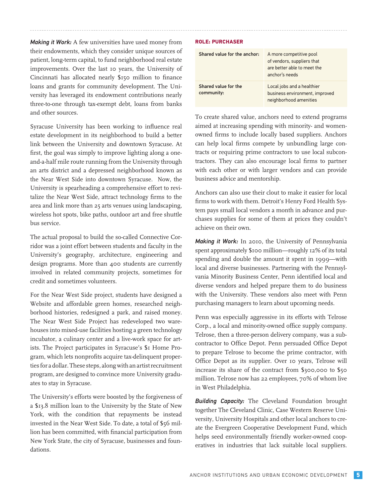*Making it Work:* A few universities have used money from their endowments, which they consider unique sources of patient, long-term capital, to fund neighborhood real estate improvements. Over the last 10 years, the University of Cincinnati has allocated nearly \$150 million to finance loans and grants for community development. The University has leveraged its endowment contributions nearly three-to-one through tax-exempt debt, loans from banks and other sources.

Syracuse University has been working to influence real estate development in its neighborhood to build a better link between the University and downtown Syracuse. At first, the goal was simply to improve lighting along a oneand-a-half mile route running from the University through an arts district and a depressed neighborhood known as the Near West Side into downtown Syracuse. Now, the University is spearheading a comprehensive effort to revitalize the Near West Side, attract technology firms to the area and link more than 25 arts venues using landscaping, wireless hot spots, bike paths, outdoor art and free shuttle bus service.

The actual proposal to build the so-called Connective Corridor was a joint effort between students and faculty in the University's geography, architecture, engineering and design programs. More than 400 students are currently involved in related community projects, sometimes for credit and sometimes volunteers.

For the Near West Side project, students have designed a Website and affordable green homes, researched neighborhood histories, redesigned a park, and raised money. The Near West Side Project has redeveloped two warehouses into mixed-use facilities hosting a green technology incubator, a culinary center and a live-work space for artists. The Project participates in Syracuse's \$1 Home Program, which lets nonprofits acquire tax-delinquent properties for a dollar. These steps, along with an artist recruitment program, are designed to convince more University graduates to stay in Syracuse.

The University's efforts were boosted by the forgiveness of a \$13.8 million loan to the University by the State of New York, with the condition that repayments be instead invested in the Near West Side. To date, a total of \$56 million has been committed, with financial participation from New York State, the city of Syracuse, businesses and foundations.

#### **ROLE: PURCHASER**

| Shared value for the anchor:       | A more competitive pool<br>of vendors, suppliers that<br>are better able to meet the<br>anchor's needs |
|------------------------------------|--------------------------------------------------------------------------------------------------------|
| Shared value for the<br>community: | Local jobs and a healthier<br>business environment, improved<br>neighborhood amenities                 |

To create shared value, anchors need to extend programs aimed at increasing spending with minority- and womenowned firms to include locally based suppliers. Anchors can help local firms compete by unbundling large contracts or requiring prime contractors to use local subcontractors. They can also encourage local firms to partner with each other or with larger vendors and can provide business advice and mentorship.

Anchors can also use their clout to make it easier for local firms to work with them. Detroit's Henry Ford Health System pays small local vendors a month in advance and purchases supplies for some of them at prices they couldn't achieve on their own.

*Making it Work:* In 2010, the University of Pennsylvania spent approximately \$100 million—roughly 12% of its total spending and double the amount it spent in 1999—with local and diverse businesses. Partnering with the Pennsylvania Minority Business Center, Penn identified local and diverse vendors and helped prepare them to do business with the University. These vendors also meet with Penn purchasing managers to learn about upcoming needs.

Penn was especially aggressive in its efforts with Telrose Corp., a local and minority-owned office supply company. Telrose, then a three-person delivery company, was a subcontractor to Office Depot. Penn persuaded Office Depot to prepare Telrose to become the prime contractor, with Office Depot as its supplier. Over 10 years, Telrose will increase its share of the contract from \$300,000 to \$50 million. Telrose now has 22 employees, 70% of whom live in West Philadelphia.

*Building Capacity:* The Cleveland Foundation brought together The Cleveland Clinic, Case Western Reserve University, University Hospitals and other local anchors to create the Evergreen Cooperative Development Fund, which helps seed environmentally friendly worker-owned cooperatives in industries that lack suitable local suppliers.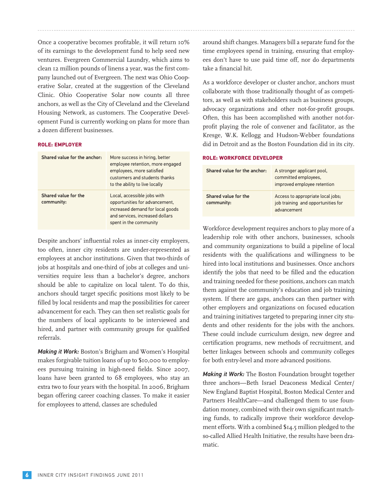Once a cooperative becomes profitable, it will return 10% of its earnings to the development fund to help seed new ventures. Evergreen Commercial Laundry, which aims to clean 12 million pounds of linens a year, was the first company launched out of Evergreen. The next was Ohio Cooperative Solar, created at the suggestion of the Cleveland Clinic. Ohio Cooperative Solar now counts all three anchors, as well as the City of Cleveland and the Cleveland Housing Network, as customers. The Cooperative Development Fund is currently working on plans for more than a dozen different businesses.

#### **ROLE: EMPLOYER**

| Shared value for the anchor:       | More success in hiring, better<br>employee retention, more engaged<br>employees, more satisfied<br>customers and students thanks<br>to the ability to live locally |
|------------------------------------|--------------------------------------------------------------------------------------------------------------------------------------------------------------------|
| Shared value for the<br>community: | Local, accessible jobs with<br>opportunities for advancement,<br>increased demand for local goods<br>and services, increased dollars<br>spent in the community     |

Despite anchors' influential roles as inner-city employers, too often, inner city residents are under-represented as employees at anchor institutions. Given that two-thirds of jobs at hospitals and one-third of jobs at colleges and universities require less than a bachelor's degree, anchors should be able to capitalize on local talent. To do this, anchors should target specific positions most likely to be filled by local residents and map the possibilities for career advancement for each. They can then set realistic goals for the numbers of local applicants to be interviewed and hired, and partner with community groups for qualified referrals.

*Making it Work:* Boston's Brigham and Women's Hospital makes forgivable tuition loans of up to \$10,000 to employees pursuing training in high-need fields. Since 2007, loans have been granted to 68 employees, who stay an extra two to four years with the hospital. In 2006, Brigham began offering career coaching classes. To make it easier for employees to attend, classes are scheduled

around shift changes. Managers bill a separate fund for the time employees spend in training, ensuring that employees don't have to use paid time off, nor do departments take a financial hit.

As a workforce developer or cluster anchor, anchors must collaborate with those traditionally thought of as competitors, as well as with stakeholders such as business groups, advocacy organizations and other not-for-profit groups. Often, this has been accomplished with another not-forprofit playing the role of convener and facilitator, as the Kresge, W.K. Kellogg and Hudson-Webber foundations did in Detroit and as the Boston Foundation did in its city.

#### **ROLE: WORKFORCE DEVELOPER**

| Shared value for the anchor:       | A stronger applicant pool,<br>committed employees,<br>improved employee retention      |
|------------------------------------|----------------------------------------------------------------------------------------|
| Shared value for the<br>community: | Access to appropriate local jobs;<br>job training and opportunities for<br>advancement |

Workforce development requires anchors to play more of a leadership role with other anchors, businesses, schools and community organizations to build a pipeline of local residents with the qualifications and willingness to be hired into local institutions and businesses. Once anchors identify the jobs that need to be filled and the education and training needed for these positions, anchors can match them against the community's education and job training system. If there are gaps, anchors can then partner with other employers and organizations on focused education and training initiatives targeted to preparing inner city students and other residents for the jobs with the anchors. These could include curriculum design, new degree and certification programs, new methods of recruitment, and better linkages between schools and community colleges for both entry-level and more advanced positions.

*Making it Work:* The Boston Foundation brought together three anchors—Beth Israel Deaconess Medical Center/ New England Baptist Hospital, Boston Medical Center and Partners HealthCare—and challenged them to use foundation money, combined with their own significant matching funds, to radically improve their workforce development efforts. With a combined \$14.5 million pledged to the so-called Allied Health Initiative, the results have been dramatic.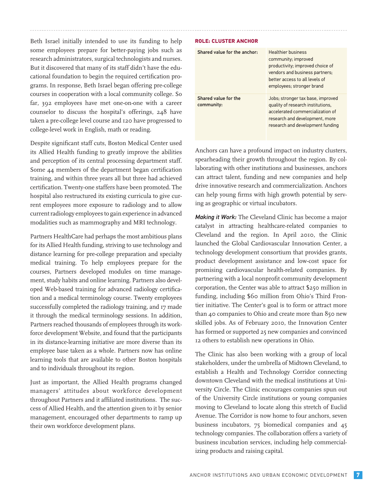Beth Israel initially intended to use its funding to help some employees prepare for better-paying jobs such as research administrators, surgical technologists and nurses. But it discovered that many of its staff didn't have the educational foundation to begin the required certification programs. In response, Beth Israel began offering pre-college courses in cooperation with a local community college. So far, 392 employees have met one-on-one with a career counselor to discuss the hospital's offerings, 248 have taken a pre-college level course and 120 have progressed to college-level work in English, math or reading.

Despite significant staff cuts, Boston Medical Center used its Allied Health funding to greatly improve the abilities and perception of its central processing department staff. Some 44 members of the department began certification training, and within three years all but three had achieved certification. Twenty-one staffers have been promoted. The hospital also restructured its existing curricula to give current employees more exposure to radiology and to allow current radiology employees to gain experience in advanced modalities such as mammography and MRI technology.

Partners HealthCare had perhaps the most ambitious plans for its Allied Health funding, striving to use technology and distance learning for pre-college preparation and specialty medical training. To help employees prepare for the courses, Partners developed modules on time management, study habits and online learning. Partners also developed Web-based training for advanced radiology certification and a medical terminology course. Twenty employees successfully completed the radiology training, and 17 made it through the medical terminology sessions. In addition, Partners reached thousands of employees through its workforce development Website, and found that the participants in its distance-learning initiative are more diverse than its employee base taken as a whole. Partners now has online learning tools that are available to other Boston hospitals and to individuals throughout its region.

Just as important, the Allied Health programs changed managers' attitudes about workforce development throughout Partners and it affiliated institutions. The success of Allied Health, and the attention given to it by senior management, encouraged other departments to ramp up their own workforce development plans.

#### **ROLE: CLUSTER ANCHOR**

| Shared value for the anchor:       | <b>Healthier business</b><br>community; improved<br>productivity; improved choice of<br>vendors and business partners;<br>better access to all levels of<br>employees; stronger brand |
|------------------------------------|---------------------------------------------------------------------------------------------------------------------------------------------------------------------------------------|
| Shared value for the<br>community: | Jobs; stronger tax base, improved<br>quality of research institutions,<br>accelerated commercialization of<br>research and development, more<br>research and development funding      |

Anchors can have a profound impact on industry clusters, spearheading their growth throughout the region. By collaborating with other institutions and businesses, anchors can attract talent, funding and new companies and help drive innovative research and commercialization. Anchors can help young firms with high growth potential by serving as geographic or virtual incubators.

*Making it Work:* The Cleveland Clinic has become a major catalyst in attracting healthcare-related companies to Cleveland and the region. In April 2010, the Clinic launched the Global Cardiovascular Innovation Center, a technology development consortium that provides grants, product development assistance and low-cost space for promising cardiovascular health-related companies. By partnering with a local nonprofit community development corporation, the Center was able to attract \$250 million in funding, including \$60 million from Ohio's Third Frontier initiative. The Center's goal is to form or attract more than 40 companies to Ohio and create more than 850 new skilled jobs. As of February 2010, the Innovation Center has formed or supported 25 new companies and convinced 12 others to establish new operations in Ohio.

The Clinic has also been working with a group of local stakeholders, under the umbrella of Midtown Cleveland, to establish a Health and Technology Corridor connecting downtown Cleveland with the medical institutions at University Circle. The Clinic encourages companies spun out of the University Circle institutions or young companies moving to Cleveland to locate along this stretch of Euclid Avenue. The Corridor is now home to four anchors, seven business incubators, 75 biomedical companies and 45 technology companies. The collaboration offers a variety of business incubation services, including help commercializing products and raising capital.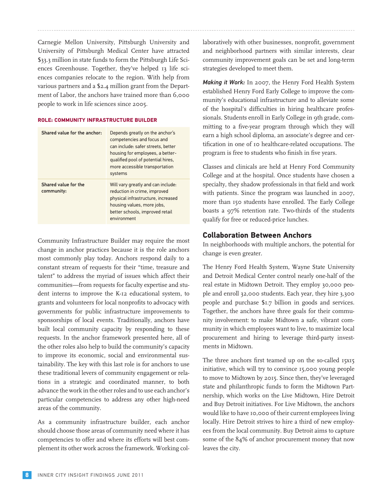Carnegie Mellon University, Pittsburgh University and University of Pittsburgh Medical Center have attracted \$33.3 million in state funds to form the Pittsburgh Life Sciences Greenhouse. Together, they've helped 13 life sciences companies relocate to the region. With help from various partners and a \$2.4 million grant from the Department of Labor, the anchors have trained more than 6,000 people to work in life sciences since 2005.

#### **ROLE: COMMUNITY INFRASTRUCTURE BUILDER**

| Shared value for the anchor:       | Depends greatly on the anchor's<br>competencies and focus and<br>can include: safer streets, better<br>housing for employees, a better-<br>qualified pool of potential hires,<br>more accessible transportation<br>systems |
|------------------------------------|----------------------------------------------------------------------------------------------------------------------------------------------------------------------------------------------------------------------------|
| Shared value for the<br>community: | Will vary greatly and can include:<br>reduction in crime, improved<br>physical infrastructure, increased<br>housing values, more jobs,<br>better schools, improved retail<br>environment                                   |

Community Infrastructure Builder may require the most change in anchor practices because it is the role anchors most commonly play today. Anchors respond daily to a constant stream of requests for their "time, treasure and talent" to address the myriad of issues which affect their communities—from requests for faculty expertise and student interns to improve the K-12 educational system, to grants and volunteers for local nonprofits to advocacy with governments for public infrastructure improvements to sponsorships of local events. Traditionally, anchors have built local community capacity by responding to these requests. In the anchor framework presented here, all of the other roles also help to build the community's capacity to improve its economic, social and environmental sustainability. The key with this last role is for anchors to use these traditional levers of community engagement or relations in a strategic and coordinated manner, to both advance the work in the other roles and to use each anchor's particular competencies to address any other high-need areas of the community.

As a community infrastructure builder, each anchor should choose those areas of community need where it has competencies to offer and where its efforts will best complement its other work across the framework. Working collaboratively with other businesses, nonprofit, government and neighborhood partners with similar interests, clear community improvement goals can be set and long-term strategies developed to meet them.

*Making it Work:* In 2007, the Henry Ford Health System established Henry Ford Early College to improve the community's educational infrastructure and to alleviate some of the hospital's difficulties in hiring healthcare professionals. Students enroll in Early College in 9th grade, committing to a five-year program through which they will earn a high school diploma, an associate's degree and certification in one of 10 healthcare-related occupations. The program is free to students who finish in five years.

Classes and clinicals are held at Henry Ford Community College and at the hospital. Once students have chosen a specialty, they shadow professionals in that field and work with patients. Since the program was launched in 2007, more than 150 students have enrolled. The Early College boasts a 97% retention rate. Two-thirds of the students qualify for free or reduced-price lunches.

# **Collaboration Between Anchors**

In neighborhoods with multiple anchors, the potential for change is even greater.

The Henry Ford Health System, Wayne State University and Detroit Medical Center control nearly one-half of the real estate in Midtown Detroit. They employ 30,000 people and enroll 32,000 students. Each year, they hire 3,300 people and purchase \$1.7 billion in goods and services. Together, the anchors have three goals for their community involvement: to make Midtown a safe, vibrant community in which employees want to live, to maximize local procurement and hiring to leverage third-party investments in Midtown.

The three anchors first teamed up on the so-called 15x15 initiative, which will try to convince 15,000 young people to move to Midtown by 2015. Since then, they've leveraged state and philanthropic funds to form the Midtown Partnership, which works on the Live Midtown, Hire Detroit and Buy Detroit initiatives. For Live Midtown, the anchors would like to have 10,000 of their current employees living locally. Hire Detroit strives to hire a third of new employees from the local community. Buy Detroit aims to capture some of the 84% of anchor procurement money that now leaves the city.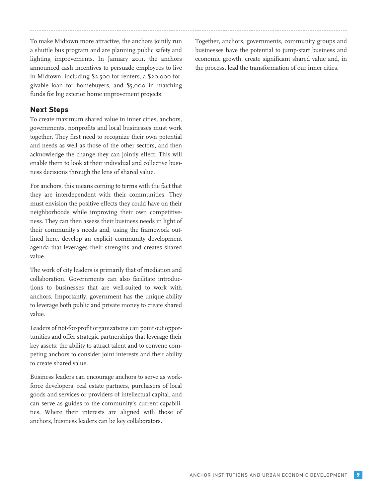To make Midtown more attractive, the anchors jointly run a shuttle bus program and are planning public safety and lighting improvements. In January 2011, the anchors announced cash incentives to persuade employees to live in Midtown, including \$2,500 for renters, a \$20,000 forgivable loan for homebuyers, and \$5,000 in matching funds for big exterior home improvement projects.

### **Next Steps**

To create maximum shared value in inner cities, anchors, governments, nonprofits and local businesses must work together. They first need to recognize their own potential and needs as well as those of the other sectors, and then acknowledge the change they can jointly effect. This will enable them to look at their individual and collective business decisions through the lens of shared value.

For anchors, this means coming to terms with the fact that they are interdependent with their communities. They must envision the positive effects they could have on their neighborhoods while improving their own competitiveness. They can then assess their business needs in light of their community's needs and, using the framework outlined here, develop an explicit community development agenda that leverages their strengths and creates shared value.

The work of city leaders is primarily that of mediation and collaboration. Governments can also facilitate introductions to businesses that are well-suited to work with anchors. Importantly, government has the unique ability to leverage both public and private money to create shared value.

Leaders of not-for-profit organizations can point out opportunities and offer strategic partnerships that leverage their key assets: the ability to attract talent and to convene competing anchors to consider joint interests and their ability to create shared value.

Business leaders can encourage anchors to serve as workforce developers, real estate partners, purchasers of local goods and services or providers of intellectual capital, and can serve as guides to the community's current capabilities. Where their interests are aligned with those of anchors, business leaders can be key collaborators.

Together, anchors, governments, community groups and businesses have the potential to jump-start business and economic growth, create significant shared value and, in the process, lead the transformation of our inner cities.